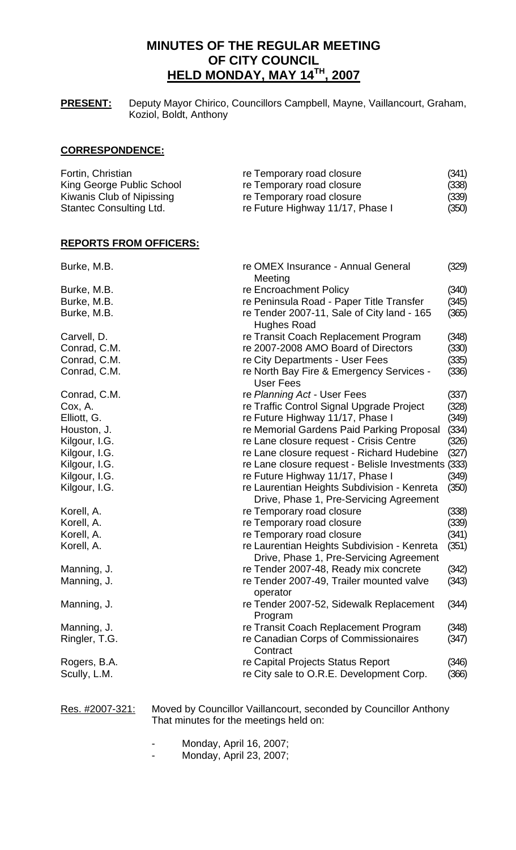# **MINUTES OF THE REGULAR MEETING OF CITY COUNCIL HELD MONDAY, MAY 14TH, 2007**

**PRESENT:** Deputy Mayor Chirico, Councillors Campbell, Mayne, Vaillancourt, Graham, Koziol, Boldt, Anthony

## **CORRESPONDENCE:**

| Fortin, Christian         | re Temporary road closure        | (341) |
|---------------------------|----------------------------------|-------|
| King George Public School | re Temporary road closure        | (338) |
| Kiwanis Club of Nipissing | re Temporary road closure        | (339) |
| Stantec Consulting Ltd.   | re Future Highway 11/17, Phase I | (350) |

### **REPORTS FROM OFFICERS:**

| Burke, M.B.   | re OMEX Insurance - Annual General<br>(329)<br>Meeting |       |
|---------------|--------------------------------------------------------|-------|
| Burke, M.B.   | re Encroachment Policy                                 | (340) |
| Burke, M.B.   | re Peninsula Road - Paper Title Transfer               | (345) |
| Burke, M.B.   | re Tender 2007-11, Sale of City land - 165             | (365) |
|               | Hughes Road                                            |       |
| Carvell, D.   | re Transit Coach Replacement Program                   | (348) |
| Conrad, C.M.  | re 2007-2008 AMO Board of Directors                    | (330) |
| Conrad, C.M.  | re City Departments - User Fees                        | (335) |
| Conrad, C.M.  | re North Bay Fire & Emergency Services -<br>User Fees  | (336) |
| Conrad, C.M.  | re Planning Act - User Fees                            | (337) |
| Cox, A.       | re Traffic Control Signal Upgrade Project              | (328) |
| Elliott, G.   | re Future Highway 11/17, Phase I                       | (349) |
| Houston, J.   | re Memorial Gardens Paid Parking Proposal              | (334) |
| Kilgour, I.G. | re Lane closure request - Crisis Centre                | (326) |
| Kilgour, I.G. | re Lane closure request - Richard Hudebine             | (327) |
| Kilgour, I.G. | re Lane closure request - Belisle Investments (333)    |       |
| Kilgour, I.G. | re Future Highway 11/17, Phase I                       | (349) |
| Kilgour, I.G. | re Laurentian Heights Subdivision - Kenreta            | (350) |
|               | Drive, Phase 1, Pre-Servicing Agreement                |       |
| Korell, A.    | re Temporary road closure                              | (338) |
| Korell, A.    | re Temporary road closure                              | (339) |
| Korell, A.    | re Temporary road closure                              | (341) |
| Korell, A.    | re Laurentian Heights Subdivision - Kenreta            | (351) |
|               | Drive, Phase 1, Pre-Servicing Agreement                |       |
| Manning, J.   | re Tender 2007-48, Ready mix concrete                  | (342) |
| Manning, J.   | re Tender 2007-49, Trailer mounted valve               | (343) |
|               | operator                                               |       |
| Manning, J.   | re Tender 2007-52, Sidewalk Replacement<br>Program     | (344) |
| Manning, J.   | re Transit Coach Replacement Program                   | (348) |
| Ringler, T.G. | re Canadian Corps of Commissionaires<br>Contract       | (347) |
| Rogers, B.A.  | re Capital Projects Status Report                      | (346) |
| Scully, L.M.  | re City sale to O.R.E. Development Corp.               | (366) |
|               |                                                        |       |

Res. #2007-321: Moved by Councillor Vaillancourt, seconded by Councillor Anthony That minutes for the meetings held on:

- Monday, April 16, 2007;
- Monday, April 23, 2007;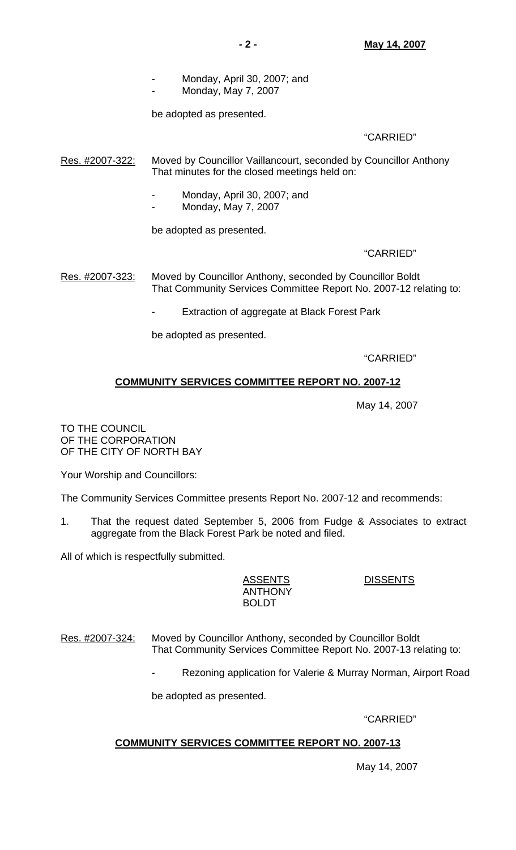Monday, May 7, 2007

be adopted as presented.

## "CARRIED"

Res. #2007-322: Moved by Councillor Vaillancourt, seconded by Councillor Anthony That minutes for the closed meetings held on:

- Monday, April 30, 2007; and
- Monday, May 7, 2007

be adopted as presented.

## "CARRIED"

Res. #2007-323: Moved by Councillor Anthony, seconded by Councillor Boldt That Community Services Committee Report No. 2007-12 relating to:

Extraction of aggregate at Black Forest Park

be adopted as presented.

"CARRIED"

## **COMMUNITY SERVICES COMMITTEE REPORT NO. 2007-12**

May 14, 2007

TO THE COUNCIL OF THE CORPORATION OF THE CITY OF NORTH BAY

Your Worship and Councillors:

The Community Services Committee presents Report No. 2007-12 and recommends:

1. That the request dated September 5, 2006 from Fudge & Associates to extract aggregate from the Black Forest Park be noted and filed.

All of which is respectfully submitted.

 ASSENTS DISSENTS ANTHONY BOLDT

## Res. #2007-324: Moved by Councillor Anthony, seconded by Councillor Boldt That Community Services Committee Report No. 2007-13 relating to:

Rezoning application for Valerie & Murray Norman, Airport Road

be adopted as presented.

"CARRIED"

## **COMMUNITY SERVICES COMMITTEE REPORT NO. 2007-13**

May 14, 2007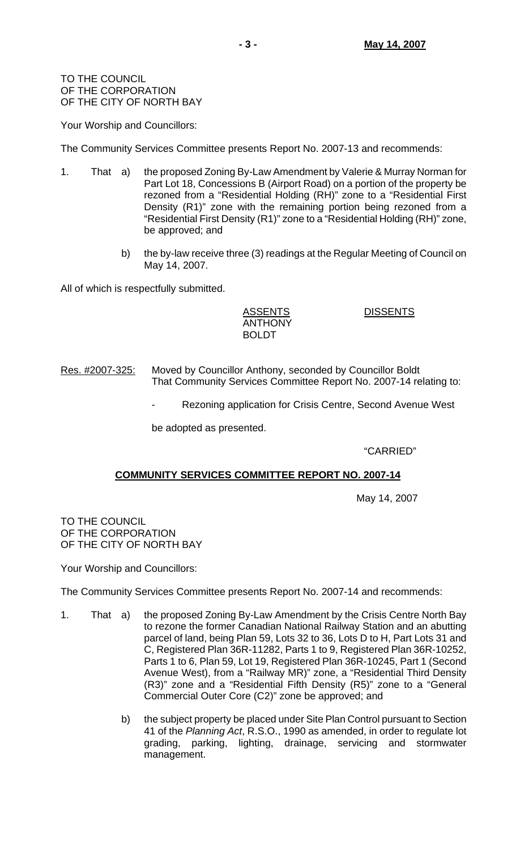TO THE COUNCIL OF THE CORPORATION OF THE CITY OF NORTH BAY

Your Worship and Councillors:

The Community Services Committee presents Report No. 2007-13 and recommends:

- 1. That a) the proposed Zoning By-Law Amendment by Valerie & Murray Norman for Part Lot 18, Concessions B (Airport Road) on a portion of the property be rezoned from a "Residential Holding (RH)" zone to a "Residential First Density (R1)" zone with the remaining portion being rezoned from a "Residential First Density (R1)" zone to a "Residential Holding (RH)" zone, be approved; and
	- b) the by-law receive three (3) readings at the Regular Meeting of Council on May 14, 2007.

All of which is respectfully submitted.

 ASSENTS DISSENTS ANTHONY BOLDT

Res. #2007-325: Moved by Councillor Anthony, seconded by Councillor Boldt That Community Services Committee Report No. 2007-14 relating to:

Rezoning application for Crisis Centre, Second Avenue West

be adopted as presented.

"CARRIED"

## **COMMUNITY SERVICES COMMITTEE REPORT NO. 2007-14**

May 14, 2007

TO THE COUNCIL OF THE CORPORATION OF THE CITY OF NORTH BAY

Your Worship and Councillors:

The Community Services Committee presents Report No. 2007-14 and recommends:

- 1. That a) the proposed Zoning By-Law Amendment by the Crisis Centre North Bay to rezone the former Canadian National Railway Station and an abutting parcel of land, being Plan 59, Lots 32 to 36, Lots D to H, Part Lots 31 and C, Registered Plan 36R-11282, Parts 1 to 9, Registered Plan 36R-10252, Parts 1 to 6, Plan 59, Lot 19, Registered Plan 36R-10245, Part 1 (Second Avenue West), from a "Railway MR)" zone, a "Residential Third Density (R3)" zone and a "Residential Fifth Density (R5)" zone to a "General Commercial Outer Core (C2)" zone be approved; and
	- b) the subject property be placed under Site Plan Control pursuant to Section 41 of the *Planning Act*, R.S.O., 1990 as amended, in order to regulate lot grading, parking, lighting, drainage, servicing and stormwater management.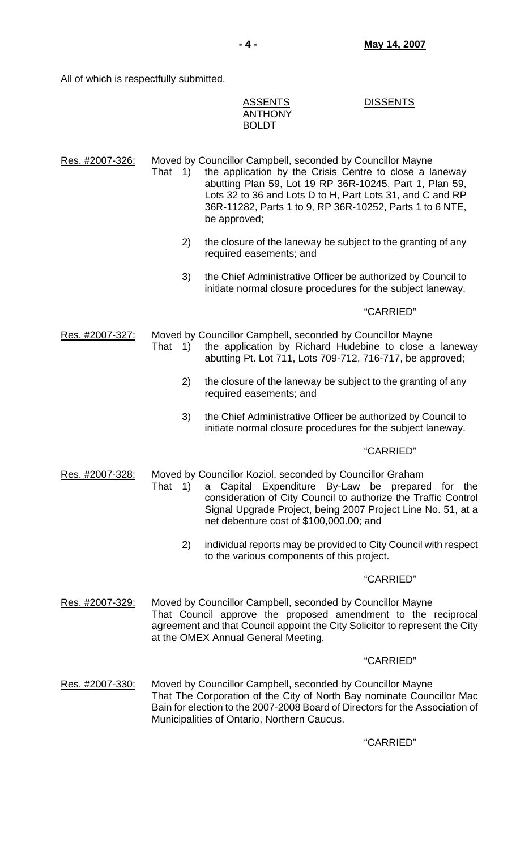All of which is respectfully submitted.

| <b>ASSENTS</b> | <b>DISSENTS</b> |
|----------------|-----------------|
| <b>ANTHONY</b> |                 |
| <b>BOLDT</b>   |                 |

Res. #2007-326: Moved by Councillor Campbell, seconded by Councillor Mayne That 1) the application by the Crisis Centre to close a laneway abutting Plan 59, Lot 19 RP 36R-10245, Part 1, Plan 59, Lots 32 to 36 and Lots D to H, Part Lots 31, and C and RP 36R-11282, Parts 1 to 9, RP 36R-10252, Parts 1 to 6 NTE, be approved;

- 2) the closure of the laneway be subject to the granting of any required easements; and
- 3) the Chief Administrative Officer be authorized by Council to initiate normal closure procedures for the subject laneway.

## "CARRIED"

Res. #2007-327: Moved by Councillor Campbell, seconded by Councillor Mayne That 1) the application by Richard Hudebine to close a laneway abutting Pt. Lot 711, Lots 709-712, 716-717, be approved;

- 2) the closure of the laneway be subject to the granting of any required easements; and
- 3) the Chief Administrative Officer be authorized by Council to initiate normal closure procedures for the subject laneway.

## "CARRIED"

Res. #2007-328: Moved by Councillor Koziol, seconded by Councillor Graham

- That 1) a Capital Expenditure By-Law be prepared for the consideration of City Council to authorize the Traffic Control Signal Upgrade Project, being 2007 Project Line No. 51, at a net debenture cost of \$100,000.00; and
	- 2) individual reports may be provided to City Council with respect to the various components of this project.

## "CARRIED"

Res. #2007-329: Moved by Councillor Campbell, seconded by Councillor Mayne That Council approve the proposed amendment to the reciprocal agreement and that Council appoint the City Solicitor to represent the City at the OMEX Annual General Meeting.

## "CARRIED"

Res. #2007-330: Moved by Councillor Campbell, seconded by Councillor Mayne That The Corporation of the City of North Bay nominate Councillor Mac Bain for election to the 2007-2008 Board of Directors for the Association of Municipalities of Ontario, Northern Caucus.

## "CARRIED"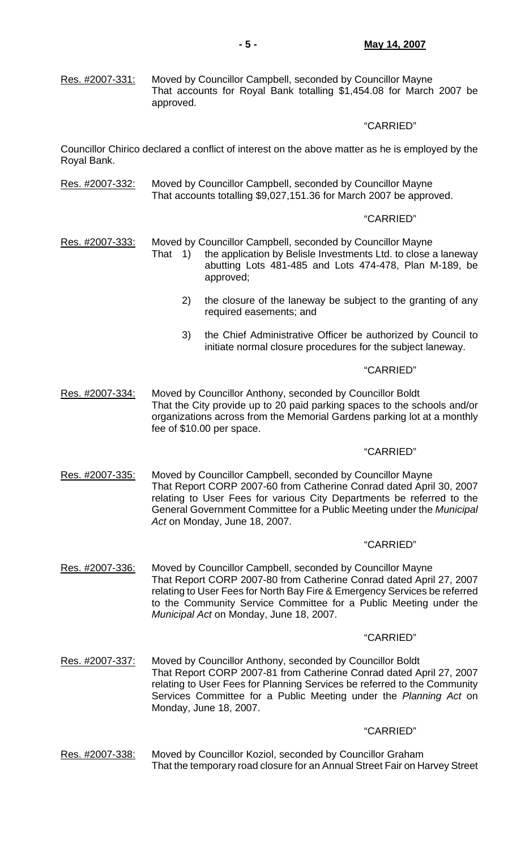Res. #2007-331: Moved by Councillor Campbell, seconded by Councillor Mayne That accounts for Royal Bank totalling \$1,454.08 for March 2007 be approved.

## "CARRIED"

Councillor Chirico declared a conflict of interest on the above matter as he is employed by the Royal Bank.

Res. #2007-332: Moved by Councillor Campbell, seconded by Councillor Mayne That accounts totalling \$9,027,151.36 for March 2007 be approved.

## "CARRIED"

- Res. #2007-333: Moved by Councillor Campbell, seconded by Councillor Mayne
	- That 1) the application by Belisle Investments Ltd. to close a laneway abutting Lots 481-485 and Lots 474-478, Plan M-189, be approved;
		- 2) the closure of the laneway be subject to the granting of any required easements; and
		- 3) the Chief Administrative Officer be authorized by Council to initiate normal closure procedures for the subject laneway.

## "CARRIED"

Res. #2007-334: Moved by Councillor Anthony, seconded by Councillor Boldt That the City provide up to 20 paid parking spaces to the schools and/or organizations across from the Memorial Gardens parking lot at a monthly fee of \$10.00 per space.

## "CARRIED"

Res. #2007-335: Moved by Councillor Campbell, seconded by Councillor Mayne That Report CORP 2007-60 from Catherine Conrad dated April 30, 2007 relating to User Fees for various City Departments be referred to the General Government Committee for a Public Meeting under the *Municipal Act* on Monday, June 18, 2007.

#### "CARRIED"

Res. #2007-336: Moved by Councillor Campbell, seconded by Councillor Mayne That Report CORP 2007-80 from Catherine Conrad dated April 27, 2007 relating to User Fees for North Bay Fire & Emergency Services be referred to the Community Service Committee for a Public Meeting under the *Municipal Act* on Monday, June 18, 2007.

#### "CARRIED"

Res. #2007-337: Moved by Councillor Anthony, seconded by Councillor Boldt That Report CORP 2007-81 from Catherine Conrad dated April 27, 2007 relating to User Fees for Planning Services be referred to the Community Services Committee for a Public Meeting under the *Planning Act* on Monday, June 18, 2007.

#### "CARRIED"

Res. #2007-338: Moved by Councillor Koziol, seconded by Councillor Graham That the temporary road closure for an Annual Street Fair on Harvey Street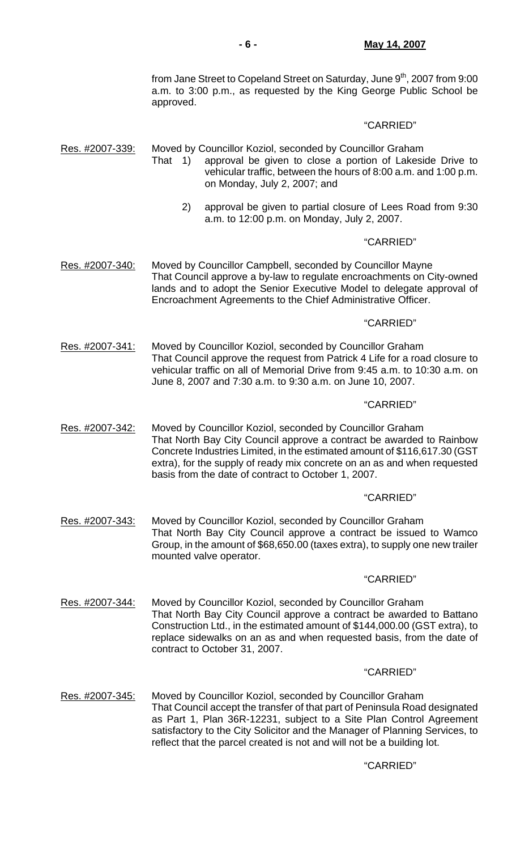from Jane Street to Copeland Street on Saturday, June 9<sup>th</sup>, 2007 from 9:00 a.m. to 3:00 p.m., as requested by the King George Public School be approved.

### "CARRIED"

Res. #2007-339: Moved by Councillor Koziol, seconded by Councillor Graham

- That 1) approval be given to close a portion of Lakeside Drive to vehicular traffic, between the hours of 8:00 a.m. and 1:00 p.m. on Monday, July 2, 2007; and
	- 2) approval be given to partial closure of Lees Road from 9:30 a.m. to 12:00 p.m. on Monday, July 2, 2007.

## "CARRIED"

Res. #2007-340: Moved by Councillor Campbell, seconded by Councillor Mayne That Council approve a by-law to regulate encroachments on City-owned lands and to adopt the Senior Executive Model to delegate approval of Encroachment Agreements to the Chief Administrative Officer.

#### "CARRIED"

Res. #2007-341: Moved by Councillor Koziol, seconded by Councillor Graham That Council approve the request from Patrick 4 Life for a road closure to vehicular traffic on all of Memorial Drive from 9:45 a.m. to 10:30 a.m. on June 8, 2007 and 7:30 a.m. to 9:30 a.m. on June 10, 2007.

#### "CARRIED"

Res. #2007-342: Moved by Councillor Koziol, seconded by Councillor Graham That North Bay City Council approve a contract be awarded to Rainbow Concrete Industries Limited, in the estimated amount of \$116,617.30 (GST extra), for the supply of ready mix concrete on an as and when requested basis from the date of contract to October 1, 2007.

#### "CARRIED"

Res. #2007-343: Moved by Councillor Koziol, seconded by Councillor Graham That North Bay City Council approve a contract be issued to Wamco Group, in the amount of \$68,650.00 (taxes extra), to supply one new trailer mounted valve operator.

#### "CARRIED"

Res. #2007-344: Moved by Councillor Koziol, seconded by Councillor Graham That North Bay City Council approve a contract be awarded to Battano Construction Ltd., in the estimated amount of \$144,000.00 (GST extra), to replace sidewalks on an as and when requested basis, from the date of contract to October 31, 2007.

#### "CARRIED"

Res. #2007-345: Moved by Councillor Koziol, seconded by Councillor Graham That Council accept the transfer of that part of Peninsula Road designated as Part 1, Plan 36R-12231, subject to a Site Plan Control Agreement satisfactory to the City Solicitor and the Manager of Planning Services, to reflect that the parcel created is not and will not be a building lot.

## "CARRIED"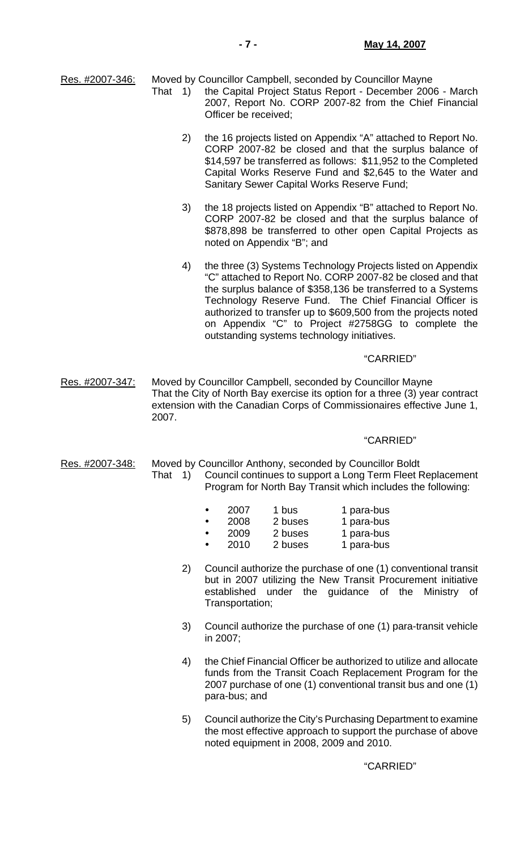Res. #2007-346: Moved by Councillor Campbell, seconded by Councillor Mayne That 1) the Capital Project Status Report - December 2006 - March

- 2007, Report No. CORP 2007-82 from the Chief Financial Officer be received;
	- 2) the 16 projects listed on Appendix "A" attached to Report No. CORP 2007-82 be closed and that the surplus balance of \$14,597 be transferred as follows: \$11,952 to the Completed Capital Works Reserve Fund and \$2,645 to the Water and Sanitary Sewer Capital Works Reserve Fund;
	- 3) the 18 projects listed on Appendix "B" attached to Report No. CORP 2007-82 be closed and that the surplus balance of \$878,898 be transferred to other open Capital Projects as noted on Appendix "B"; and
	- 4) the three (3) Systems Technology Projects listed on Appendix "C" attached to Report No. CORP 2007-82 be closed and that the surplus balance of \$358,136 be transferred to a Systems Technology Reserve Fund. The Chief Financial Officer is authorized to transfer up to \$609,500 from the projects noted on Appendix "C" to Project #2758GG to complete the outstanding systems technology initiatives.

#### "CARRIED"

Res. #2007-347: Moved by Councillor Campbell, seconded by Councillor Mayne That the City of North Bay exercise its option for a three (3) year contract extension with the Canadian Corps of Commissionaires effective June 1, 2007.

## "CARRIED"

Res. #2007-348: Moved by Councillor Anthony, seconded by Councillor Boldt That 1) Council continues to support a Long Term Fleet Replacement Program for North Bay Transit which includes the following:

|  | 2007 | 1 bus                | 1 para-bus   |
|--|------|----------------------|--------------|
|  |      | $\cdot$ 2008 2 buses | 1 para-bus   |
|  | nnnn | $\Omega$ kissas      | A novelation |

- y 2009 2 buses 1 para-bus 2010 2 buses 1 para-bus
- 2) Council authorize the purchase of one (1) conventional transit but in 2007 utilizing the New Transit Procurement initiative established under the guidance of the Ministry of Transportation;
- 3) Council authorize the purchase of one (1) para-transit vehicle in 2007;
- 4) the Chief Financial Officer be authorized to utilize and allocate funds from the Transit Coach Replacement Program for the 2007 purchase of one (1) conventional transit bus and one (1) para-bus; and
- 5) Council authorize the City's Purchasing Department to examine the most effective approach to support the purchase of above noted equipment in 2008, 2009 and 2010.

"CARRIED"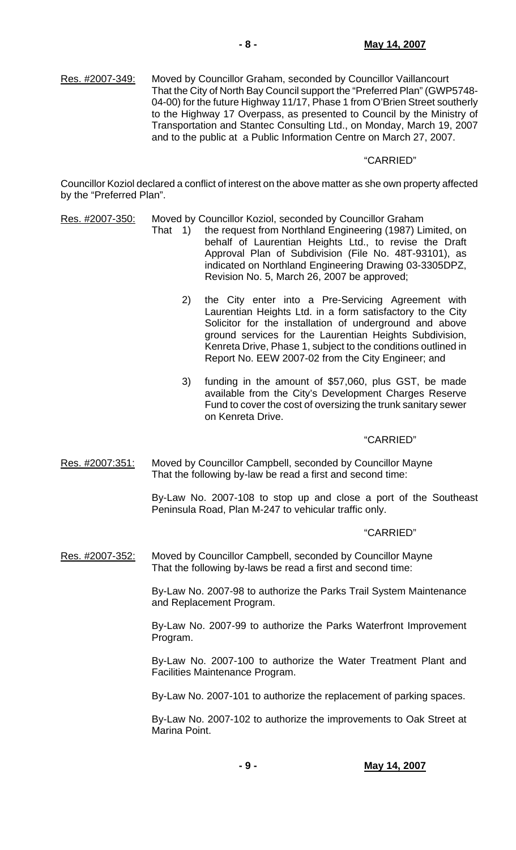Res. #2007-349: Moved by Councillor Graham, seconded by Councillor Vaillancourt That the City of North Bay Council support the "Preferred Plan" (GWP5748- 04-00) for the future Highway 11/17, Phase 1 from O'Brien Street southerly to the Highway 17 Overpass, as presented to Council by the Ministry of Transportation and Stantec Consulting Ltd., on Monday, March 19, 2007 and to the public at a Public Information Centre on March 27, 2007.

## "CARRIED"

Councillor Koziol declared a conflict of interest on the above matter as she own property affected by the "Preferred Plan".

- Res. #2007-350: Moved by Councillor Koziol, seconded by Councillor Graham
	- That 1) the request from Northland Engineering (1987) Limited, on behalf of Laurentian Heights Ltd., to revise the Draft Approval Plan of Subdivision (File No. 48T-93101), as indicated on Northland Engineering Drawing 03-3305DPZ, Revision No. 5, March 26, 2007 be approved;
		- 2) the City enter into a Pre-Servicing Agreement with Laurentian Heights Ltd. in a form satisfactory to the City Solicitor for the installation of underground and above ground services for the Laurentian Heights Subdivision, Kenreta Drive, Phase 1, subject to the conditions outlined in Report No. EEW 2007-02 from the City Engineer; and
		- 3) funding in the amount of \$57,060, plus GST, be made available from the City's Development Charges Reserve Fund to cover the cost of oversizing the trunk sanitary sewer on Kenreta Drive.

## "CARRIED"

Res. #2007:351: Moved by Councillor Campbell, seconded by Councillor Mayne That the following by-law be read a first and second time:

> By-Law No. 2007-108 to stop up and close a port of the Southeast Peninsula Road, Plan M-247 to vehicular traffic only.

## "CARRIED"

Res. #2007-352: Moved by Councillor Campbell, seconded by Councillor Mayne That the following by-laws be read a first and second time:

> By-Law No. 2007-98 to authorize the Parks Trail System Maintenance and Replacement Program.

> By-Law No. 2007-99 to authorize the Parks Waterfront Improvement Program.

> By-Law No. 2007-100 to authorize the Water Treatment Plant and Facilities Maintenance Program.

> By-Law No. 2007-101 to authorize the replacement of parking spaces.

 By-Law No. 2007-102 to authorize the improvements to Oak Street at Marina Point.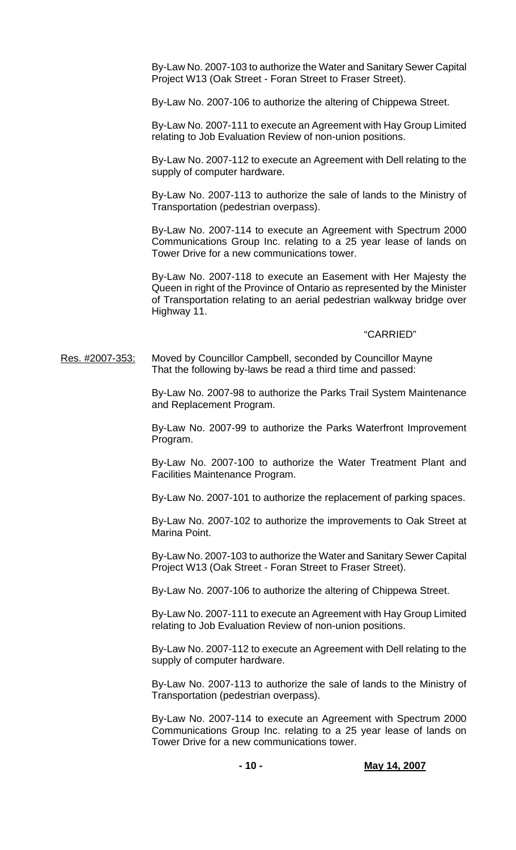By-Law No. 2007-103 to authorize the Water and Sanitary Sewer Capital Project W13 (Oak Street - Foran Street to Fraser Street).

By-Law No. 2007-106 to authorize the altering of Chippewa Street.

 By-Law No. 2007-111 to execute an Agreement with Hay Group Limited relating to Job Evaluation Review of non-union positions.

 By-Law No. 2007-112 to execute an Agreement with Dell relating to the supply of computer hardware.

 By-Law No. 2007-113 to authorize the sale of lands to the Ministry of Transportation (pedestrian overpass).

 By-Law No. 2007-114 to execute an Agreement with Spectrum 2000 Communications Group Inc. relating to a 25 year lease of lands on Tower Drive for a new communications tower.

 By-Law No. 2007-118 to execute an Easement with Her Majesty the Queen in right of the Province of Ontario as represented by the Minister of Transportation relating to an aerial pedestrian walkway bridge over Highway 11.

### "CARRIED"

Res. #2007-353: Moved by Councillor Campbell, seconded by Councillor Mayne That the following by-laws be read a third time and passed:

> By-Law No. 2007-98 to authorize the Parks Trail System Maintenance and Replacement Program.

> By-Law No. 2007-99 to authorize the Parks Waterfront Improvement Program.

> By-Law No. 2007-100 to authorize the Water Treatment Plant and Facilities Maintenance Program.

> By-Law No. 2007-101 to authorize the replacement of parking spaces.

 By-Law No. 2007-102 to authorize the improvements to Oak Street at Marina Point.

 By-Law No. 2007-103 to authorize the Water and Sanitary Sewer Capital Project W13 (Oak Street - Foran Street to Fraser Street).

By-Law No. 2007-106 to authorize the altering of Chippewa Street.

 By-Law No. 2007-111 to execute an Agreement with Hay Group Limited relating to Job Evaluation Review of non-union positions.

 By-Law No. 2007-112 to execute an Agreement with Dell relating to the supply of computer hardware.

 By-Law No. 2007-113 to authorize the sale of lands to the Ministry of Transportation (pedestrian overpass).

 By-Law No. 2007-114 to execute an Agreement with Spectrum 2000 Communications Group Inc. relating to a 25 year lease of lands on Tower Drive for a new communications tower.

**- 10 - May 14, 2007**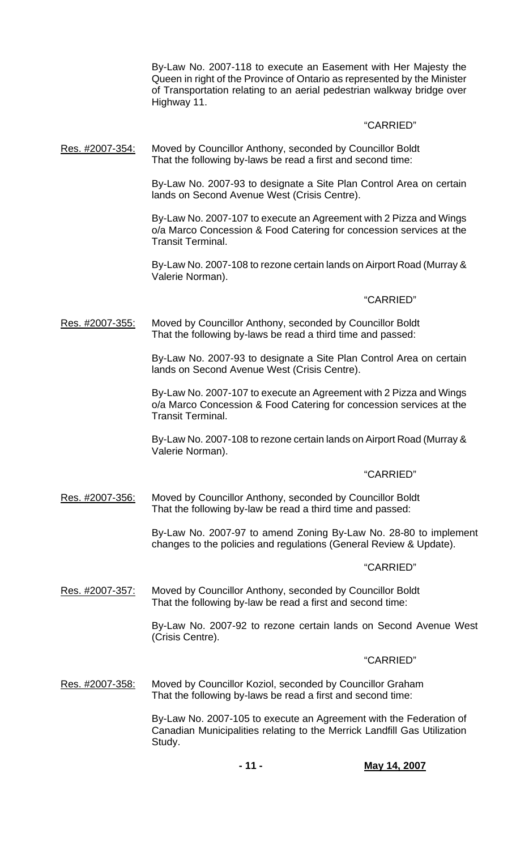By-Law No. 2007-118 to execute an Easement with Her Majesty the Queen in right of the Province of Ontario as represented by the Minister of Transportation relating to an aerial pedestrian walkway bridge over Highway 11.

## "CARRIED"

Res. #2007-354: Moved by Councillor Anthony, seconded by Councillor Boldt That the following by-laws be read a first and second time:

> By-Law No. 2007-93 to designate a Site Plan Control Area on certain lands on Second Avenue West (Crisis Centre).

> By-Law No. 2007-107 to execute an Agreement with 2 Pizza and Wings o/a Marco Concession & Food Catering for concession services at the Transit Terminal.

> By-Law No. 2007-108 to rezone certain lands on Airport Road (Murray & Valerie Norman).

## "CARRIED"

Res. #2007-355: Moved by Councillor Anthony, seconded by Councillor Boldt That the following by-laws be read a third time and passed:

> By-Law No. 2007-93 to designate a Site Plan Control Area on certain lands on Second Avenue West (Crisis Centre).

> By-Law No. 2007-107 to execute an Agreement with 2 Pizza and Wings o/a Marco Concession & Food Catering for concession services at the Transit Terminal.

> By-Law No. 2007-108 to rezone certain lands on Airport Road (Murray & Valerie Norman).

## "CARRIED"

Res. #2007-356: Moved by Councillor Anthony, seconded by Councillor Boldt That the following by-law be read a third time and passed:

> By-Law No. 2007-97 to amend Zoning By-Law No. 28-80 to implement changes to the policies and regulations (General Review & Update).

## "CARRIED"

Res. #2007-357: Moved by Councillor Anthony, seconded by Councillor Boldt That the following by-law be read a first and second time:

> By-Law No. 2007-92 to rezone certain lands on Second Avenue West (Crisis Centre).

#### "CARRIED"

Res. #2007-358: Moved by Councillor Koziol, seconded by Councillor Graham That the following by-laws be read a first and second time:

> By-Law No. 2007-105 to execute an Agreement with the Federation of Canadian Municipalities relating to the Merrick Landfill Gas Utilization Study.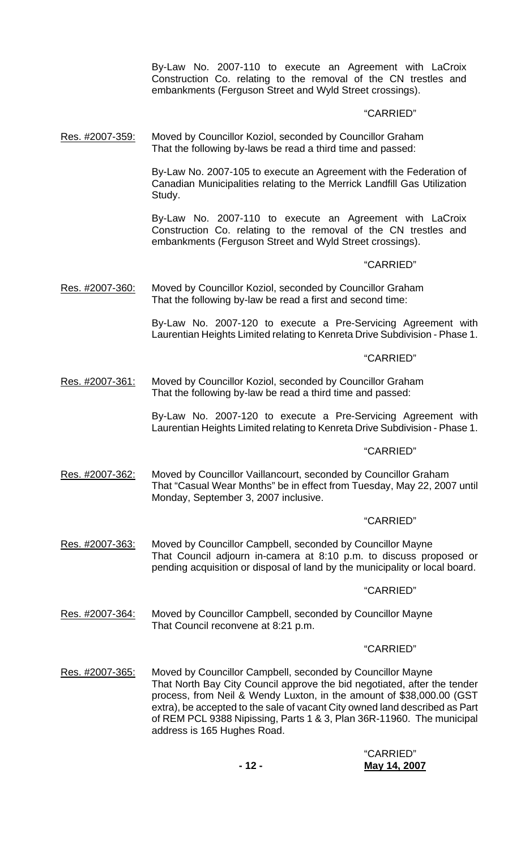By-Law No. 2007-110 to execute an Agreement with LaCroix Construction Co. relating to the removal of the CN trestles and embankments (Ferguson Street and Wyld Street crossings).

## "CARRIED"

Res. #2007-359: Moved by Councillor Koziol, seconded by Councillor Graham That the following by-laws be read a third time and passed:

> By-Law No. 2007-105 to execute an Agreement with the Federation of Canadian Municipalities relating to the Merrick Landfill Gas Utilization Study.

> By-Law No. 2007-110 to execute an Agreement with LaCroix Construction Co. relating to the removal of the CN trestles and embankments (Ferguson Street and Wyld Street crossings).

### "CARRIED"

Res. #2007-360: Moved by Councillor Koziol, seconded by Councillor Graham That the following by-law be read a first and second time:

> By-Law No. 2007-120 to execute a Pre-Servicing Agreement with Laurentian Heights Limited relating to Kenreta Drive Subdivision - Phase 1.

### "CARRIED"

Res. #2007-361: Moved by Councillor Koziol, seconded by Councillor Graham That the following by-law be read a third time and passed:

> By-Law No. 2007-120 to execute a Pre-Servicing Agreement with Laurentian Heights Limited relating to Kenreta Drive Subdivision - Phase 1.

## "CARRIED"

Res. #2007-362: Moved by Councillor Vaillancourt, seconded by Councillor Graham That "Casual Wear Months" be in effect from Tuesday, May 22, 2007 until Monday, September 3, 2007 inclusive.

#### "CARRIED"

Res. #2007-363: Moved by Councillor Campbell, seconded by Councillor Mayne That Council adjourn in-camera at 8:10 p.m. to discuss proposed or pending acquisition or disposal of land by the municipality or local board.

#### "CARRIED"

Res. #2007-364: Moved by Councillor Campbell, seconded by Councillor Mayne That Council reconvene at 8:21 p.m.

#### "CARRIED"

Res. #2007-365: Moved by Councillor Campbell, seconded by Councillor Mayne That North Bay City Council approve the bid negotiated, after the tender process, from Neil & Wendy Luxton, in the amount of \$38,000.00 (GST extra), be accepted to the sale of vacant City owned land described as Part of REM PCL 9388 Nipissing, Parts 1 & 3, Plan 36R-11960. The municipal address is 165 Hughes Road.

## "CARRIED" **- 12 - May 14, 2007**